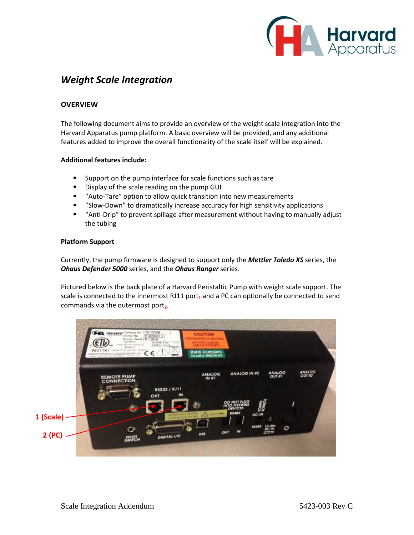

# *Weight Scale Integration*

# **OVERVIEW**

The following document aims to provide an overview of the weight scale integration into the Harvard Apparatus pump platform. A basic overview will be provided, and any additional features added to improve the overall functionality of the scale itself will be explained.

## **Additional features include:**

- **EXECT** Support on the pump interface for scale functions such as tare
- Display of the scale reading on the pump GUI
- "Auto-Tare" option to allow quick transition into new measurements
- "Slow-Down" to dramatically increase accuracy for high sensitivity applications
- "Anti-Drip" to prevent spillage after measurement without having to manually adjust the tubing

#### **Platform Support**

Currently, the pump firmware is designed to support only the *Mettler Toledo XS* series, the *Ohaus Defender 5000* series, and the *Ohaus Ranger* series.

Pictured below is the back plate of a Harvard Peristaltic Pump with weight scale support. The scale is connected to the innermost RJ11 port<sub>1</sub> and a PC can optionally be connected to send commands via the outermost port<sub>2</sub>.

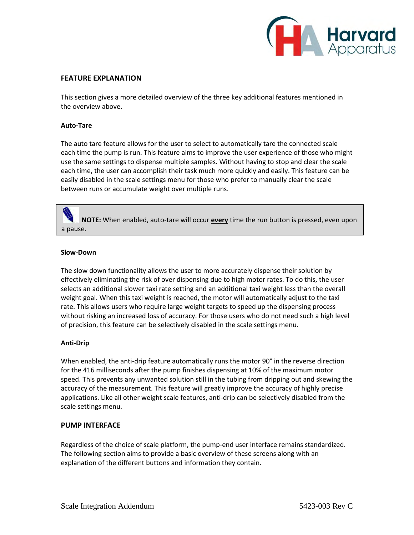

## **FEATURE EXPLANATION**

This section gives a more detailed overview of the three key additional features mentioned in the overview above.

#### **Auto-Tare**

The auto tare feature allows for the user to select to automatically tare the connected scale each time the pump is run. This feature aims to improve the user experience of those who might use the same settings to dispense multiple samples. Without having to stop and clear the scale each time, the user can accomplish their task much more quickly and easily. This feature can be easily disabled in the scale settings menu for those who prefer to manually clear the scale between runs or accumulate weight over multiple runs.

 **NOTE:** When enabled, auto-tare will occur **every** time the run button is pressed, even upon a pause.

#### **Slow-Down**

Í

The slow down functionality allows the user to more accurately dispense their solution by effectively eliminating the risk of over dispensing due to high motor rates. To do this, the user selects an additional slower taxi rate setting and an additional taxi weight less than the overall weight goal. When this taxi weight is reached, the motor will automatically adjust to the taxi rate. This allows users who require large weight targets to speed up the dispensing process without risking an increased loss of accuracy. For those users who do not need such a high level of precision, this feature can be selectively disabled in the scale settings menu.

#### **Anti-Drip**

When enabled, the anti-drip feature automatically runs the motor 90° in the reverse direction for the 416 milliseconds after the pump finishes dispensing at 10% of the maximum motor speed. This prevents any unwanted solution still in the tubing from dripping out and skewing the accuracy of the measurement. This feature will greatly improve the accuracy of highly precise applications. Like all other weight scale features, anti-drip can be selectively disabled from the scale settings menu.

#### **PUMP INTERFACE**

Regardless of the choice of scale platform, the pump-end user interface remains standardized. The following section aims to provide a basic overview of these screens along with an explanation of the different buttons and information they contain.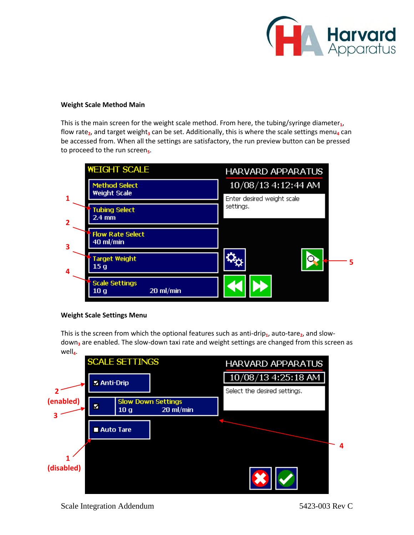

#### **Weight Scale Method Main**

This is the main screen for the weight scale method. From here, the tubing/syringe diameter<sub>1</sub>, flow rate<sub>2</sub>, and target weight<sub>3</sub> can be set. Additionally, this is where the scale settings menu<sub>4</sub> can be accessed from. When all the settings are satisfactory, the run preview button can be pressed to proceed to the run screen**5**.



#### **Weight Scale Settings Menu**

This is the screen from which the optional features such as anti-drip<sub>1</sub>, auto-tare<sub>2</sub>, and slowdown**3** are enabled. The slow-down taxi rate and weight settings are changed from this screen as well**4**.

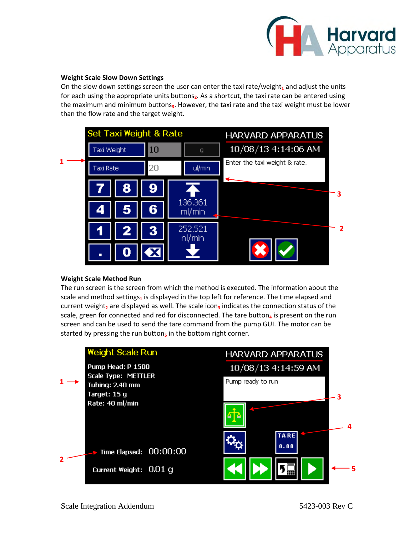

#### **Weight Scale Slow Down Settings**

On the slow down settings screen the user can enter the taxi rate/weight, and adjust the units for each using the appropriate units buttons**2**. As a shortcut, the taxi rate can be entered using the maximum and minimum buttons**3**. However, the taxi rate and the taxi weight must be lower than the flow rate and the target weight.



#### **Weight Scale Method Run**

The run screen is the screen from which the method is executed. The information about the scale and method settings<sub>1</sub> is displayed in the top left for reference. The time elapsed and current weight, are displayed as well. The scale icon<sub>3</sub> indicates the connection status of the scale, green for connected and red for disconnected. The tare button<sub>4</sub> is present on the run screen and can be used to send the tare command from the pump GUI. The motor can be started by pressing the run button<sub>5</sub> in the bottom right corner.

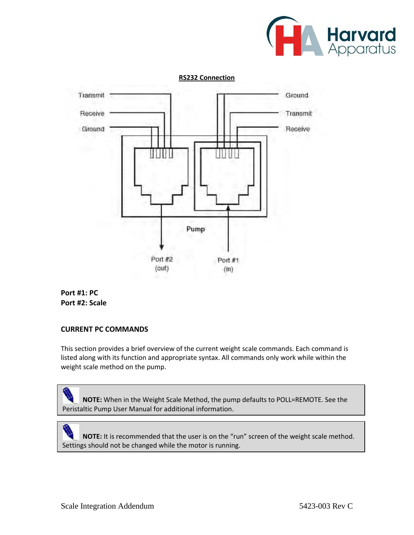

**RS232 Connection**





Ć

# **CURRENT PC COMMANDS**

This section provides a brief overview of the current weight scale commands. Each command is listed along with its function and appropriate syntax. All commands only work while within the weight scale method on the pump.

Ć **NOTE:** When in the Weight Scale Method, the pump defaults to POLL=REMOTE. See the Peristaltic Pump User Manual for additional information.

 **NOTE:** It is recommended that the user is on the "run" screen of the weight scale method. Settings should not be changed while the motor is running.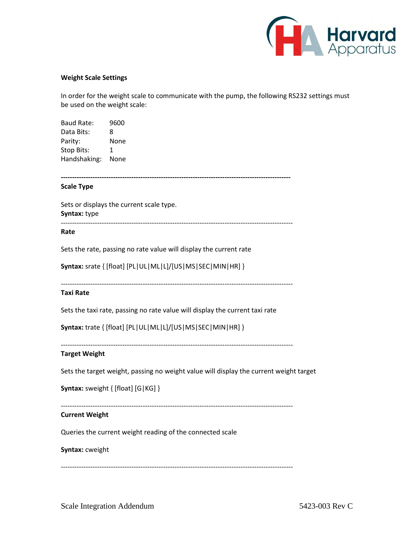

#### **Weight Scale Settings**

In order for the weight scale to communicate with the pump, the following RS232 settings must be used on the weight scale:

| <b>Baud Rate:</b> | 9600 |
|-------------------|------|
| Data Bits:        | 8    |
| Parity:           | None |
| Stop Bits:        | 1    |
| Handshaking:      | None |
|                   |      |

```
-----------------------------------------------------------------------------------------------------
```
## **Scale Type**

Sets or displays the current scale type. **Syntax:** type

------------------------------------------------------------------------------------------------------

**Rate** 

Sets the rate, passing no rate value will display the current rate

**Syntax:** srate { [float] [PL|UL|ML|L]/[US|MS|SEC|MIN|HR] }

------------------------------------------------------------------------------------------------------

## **Taxi Rate**

Sets the taxi rate, passing no rate value will display the current taxi rate

**Syntax:** trate { [float] [PL|UL|ML|L]/[US|MS|SEC|MIN|HR] }

#### **Target Weight**

Sets the target weight, passing no weight value will display the current weight target

------------------------------------------------------------------------------------------------------

```
Syntax: sweight { [float] [G|KG] }
```
------------------------------------------------------------------------------------------------------

## **Current Weight**

Queries the current weight reading of the connected scale

#### **Syntax:** cweight

------------------------------------------------------------------------------------------------------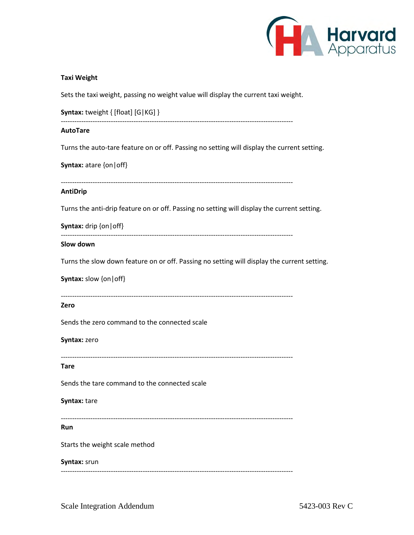

## **Taxi Weight**

Sets the taxi weight, passing no weight value will display the current taxi weight.

| <b>Syntax:</b> tweight { [float] [G KG] } |  |
|-------------------------------------------|--|
|                                           |  |

#### **AutoTare**

Turns the auto-tare feature on or off. Passing no setting will display the current setting.

**Syntax:** atare {on|off}

------------------------------------------------------------------------------------------------------

#### **AntiDrip**

Turns the anti-drip feature on or off. Passing no setting will display the current setting.

**Syntax:** drip {on|off}

#### **Slow down**

Turns the slow down feature on or off. Passing no setting will display the current setting.

------------------------------------------------------------------------------------------------------

**Syntax:** slow {on|off}

------------------------------------------------------------------------------------------------------

# **Zero**

Sends the zero command to the connected scale

#### **Syntax:** zero

------------------------------------------------------------------------------------------------------

## **Tare**

Sends the tare command to the connected scale

#### **Syntax:** tare

------------------------------------------------------------------------------------------------------

#### **Run**

Starts the weight scale method

#### **Syntax:** srun

------------------------------------------------------------------------------------------------------